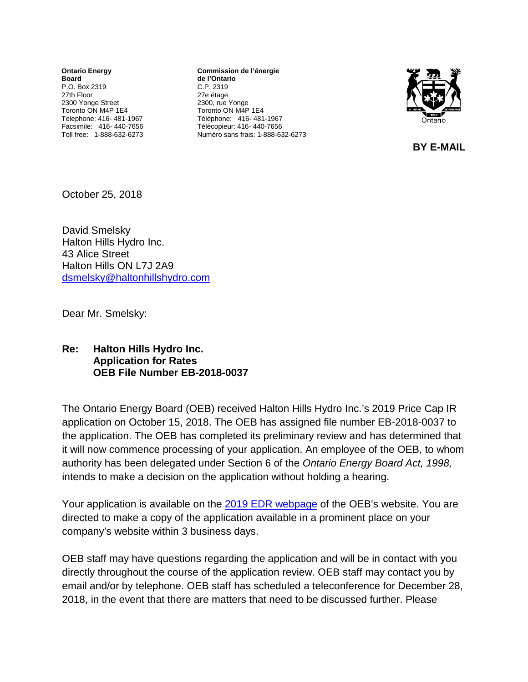**Ontario Energy Board** P.O. Box 2319 27th Floor 2300 Yonge Street Toronto ON M4P 1E4 Telephone: 416- 481-1967 Facsimile: 416- 440-7656 Toll free: 1-888-632-6273

**Commission de l'énergie de l'Ontario** C.P. 2319 27e étage 2300, rue Yonge Toronto ON M4P 1E4 Téléphone: 416- 481-1967 Télécopieur: 416- 440-7656 Numéro sans frais: 1-888-632-6273



 **BY E-MAIL** 

October 25, 2018

David Smelsky Halton Hills Hydro Inc. 43 Alice Street Halton Hills ON L7J 2A9 [dsmelsky@haltonhillshydro.com](mailto:dsmelsky@haltonhillshydro.com)

Dear Mr. Smelsky:

## **Re: Halton Hills Hydro Inc. Application for Rates OEB File Number EB-2018-0037**

The Ontario Energy Board (OEB) received Halton Hills Hydro Inc.'s 2019 Price Cap IR application on October 15, 2018. The OEB has assigned file number EB-2018-0037 to the application. The OEB has completed its preliminary review and has determined that it will now commence processing of your application. An employee of the OEB, to whom authority has been delegated under Section 6 of the *Ontario Energy Board Act, 1998,* intends to make a decision on the application without holding a hearing.

Your application is available on the 2019 [EDR webpage](https://www.oeb.ca/industry/applications-oeb/electricity-distribution-rates/2019-electricity-distribution-rate) of the OEB's website. You are directed to make a copy of the application available in a prominent place on your company's website within 3 business days.

OEB staff may have questions regarding the application and will be in contact with you directly throughout the course of the application review. OEB staff may contact you by email and/or by telephone. OEB staff has scheduled a teleconference for December 28, 2018, in the event that there are matters that need to be discussed further. Please